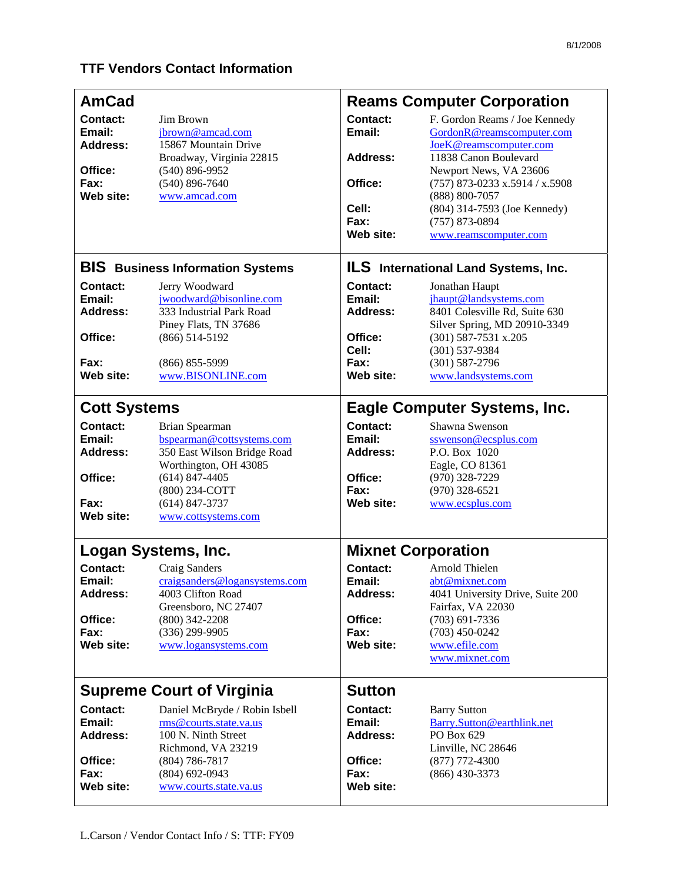## **TTF Vendors Contact Information**

| <b>AmCad</b>                                                                                 |                                                                                                                                                                                                              | <b>Reams Computer Corporation</b>                                                                  |                                                                                                                                                                                                                                                                            |
|----------------------------------------------------------------------------------------------|--------------------------------------------------------------------------------------------------------------------------------------------------------------------------------------------------------------|----------------------------------------------------------------------------------------------------|----------------------------------------------------------------------------------------------------------------------------------------------------------------------------------------------------------------------------------------------------------------------------|
| <b>Contact:</b><br>Email:<br><b>Address:</b><br>Office:<br>Fax:<br>Web site:                 | Jim Brown<br>jbrown@amcad.com<br>15867 Mountain Drive<br>Broadway, Virginia 22815<br>$(540)$ 896-9952<br>$(540)$ 896-7640<br>www.amcad.com                                                                   | Contact:<br>Email:<br><b>Address:</b><br>Office:<br>Cell:<br>Fax:<br>Web site:                     | F. Gordon Reams / Joe Kennedy<br>GordonR@reamscomputer.com<br>JoeK@reamscomputer.com<br>11838 Canon Boulevard<br>Newport News, VA 23606<br>$(757)$ 873-0233 x.5914 / x.5908<br>(888) 800-7057<br>(804) 314-7593 (Joe Kennedy)<br>$(757)$ 873-0894<br>www.reamscomputer.com |
| <b>BIS</b> Business Information Systems                                                      |                                                                                                                                                                                                              | <b>ILS</b> International Land Systems, Inc.                                                        |                                                                                                                                                                                                                                                                            |
| Contact:<br>Email:<br><b>Address:</b><br>Office:<br>Fax:<br>Web site:                        | Jerry Woodward<br>jwoodward@bisonline.com<br>333 Industrial Park Road<br>Piney Flats, TN 37686<br>$(866)$ 514-5192<br>$(866) 855 - 5999$<br>www.BISONLINE.com                                                | Contact:<br>Email:<br>Address:<br>Office:<br>Cell:<br>Fax:<br>Web site:                            | Jonathan Haupt<br>jhaupt@landsystems.com<br>8401 Colesville Rd, Suite 630<br>Silver Spring, MD 20910-3349<br>$(301)$ 587-7531 x.205<br>$(301) 537-9384$<br>$(301) 587 - 2796$<br>www.landsystems.com                                                                       |
| <b>Cott Systems</b><br>Contact:<br>Email:<br><b>Address:</b><br>Office:<br>Fax:<br>Web site: | Brian Spearman<br>bspearman@cottsystems.com<br>350 East Wilson Bridge Road<br>Worthington, OH 43085<br>$(614)$ 847-4405<br>(800) 234-COTT<br>$(614)$ 847-3737<br>www.cottsystems.com                         | <b>Contact:</b><br>Email:<br>Address:<br>Office:<br>Fax:<br>Web site:                              | <b>Eagle Computer Systems, Inc.</b><br>Shawna Swenson<br>sswenson@ecsplus.com<br>P.O. Box 1020<br>Eagle, CO 81361<br>$(970)$ 328-7229<br>$(970)$ 328-6521<br>www.ecsplus.com                                                                                               |
| Contact:<br>Email:<br><b>Address:</b><br>Office:<br>Fax:<br>Web site:                        | Logan Systems, Inc.<br>Craig Sanders<br>craigsanders@logansystems.com<br>4003 Clifton Road<br>Greensboro, NC 27407<br>$(800)$ 342-2208<br>$(336)$ 299-9905<br>www.logansystems.com                           | <b>Mixnet Corporation</b><br>Contact:<br>Email:<br><b>Address:</b><br>Office:<br>Fax:<br>Web site: | Arnold Thielen<br>abt@mixnet.com<br>4041 University Drive, Suite 200<br>Fairfax, VA 22030<br>$(703)$ 691-7336<br>$(703)$ 450-0242<br>www.efile.com<br>www.mixnet.com                                                                                                       |
| Contact:<br>Email:<br><b>Address:</b><br>Office:<br>Fax:<br>Web site:                        | <b>Supreme Court of Virginia</b><br>Daniel McBryde / Robin Isbell<br>rms@courts.state.va.us<br>100 N. Ninth Street<br>Richmond, VA 23219<br>$(804) 786 - 7817$<br>$(804)$ 692-0943<br>www.courts.state.va.us | <b>Sutton</b><br><b>Contact:</b><br>Email:<br><b>Address:</b><br>Office:<br>Fax:<br>Web site:      | <b>Barry Sutton</b><br>Barry.Sutton@earthlink.net<br>PO Box 629<br>Linville, NC 28646<br>$(877)$ 772-4300<br>$(866)$ 430-3373                                                                                                                                              |